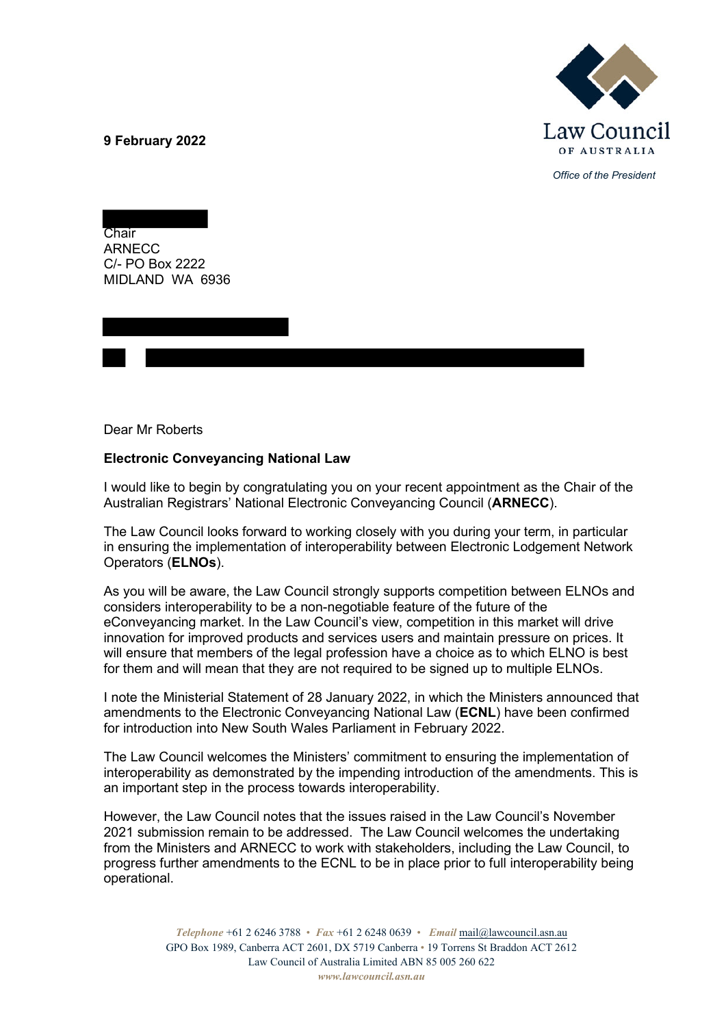**9 February 2022**



*Office of the President*

Chair ARNECC C/- PO Box 2222 MIDLAND WA 6936

Dear Mr Roberts

## **Electronic Conveyancing National Law**

I would like to begin by congratulating you on your recent appointment as the Chair of the Australian Registrars' National Electronic Conveyancing Council (**ARNECC**).

The Law Council looks forward to working closely with you during your term, in particular in ensuring the implementation of interoperability between Electronic Lodgement Network Operators (**ELNOs**).

As you will be aware, the Law Council strongly supports competition between ELNOs and considers interoperability to be a non-negotiable feature of the future of the eConveyancing market. In the Law Council's view, competition in this market will drive innovation for improved products and services users and maintain pressure on prices. It will ensure that members of the legal profession have a choice as to which ELNO is best for them and will mean that they are not required to be signed up to multiple ELNOs.

I note the Ministerial Statement of 28 January 2022, in which the Ministers announced that amendments to the Electronic Conveyancing National Law (**ECNL**) have been confirmed for introduction into New South Wales Parliament in February 2022.

The Law Council welcomes the Ministers' commitment to ensuring the implementation of interoperability as demonstrated by the impending introduction of the amendments. This is an important step in the process towards interoperability.

However, the Law Council notes that the issues raised in the Law Council's November 2021 submission remain to be addressed. The Law Council welcomes the undertaking from the Ministers and ARNECC to work with stakeholders, including the Law Council, to progress further amendments to the ECNL to be in place prior to full interoperability being operational.